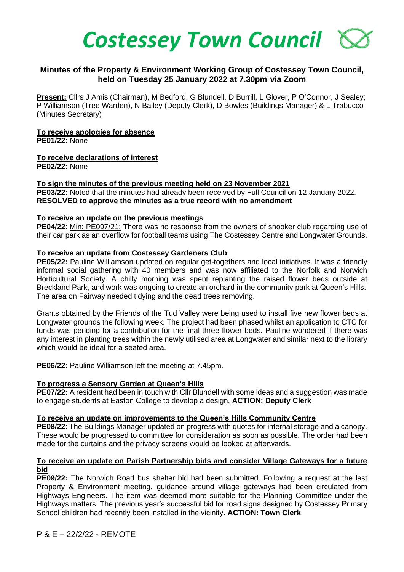

# **Minutes of the Property & Environment Working Group of Costessey Town Council, held on Tuesday 25 January 2022 at 7.30pm via Zoom**

**Present:** Cllrs J Amis (Chairman), M Bedford, G Blundell, D Burrill, L Glover, P O'Connor, J Sealey; P Williamson (Tree Warden), N Bailey (Deputy Clerk), D Bowles (Buildings Manager) & L Trabucco (Minutes Secretary)

# **To receive apologies for absence**

**PE01/22:** None

# **To receive declarations of interest**

**PE02/22:** None

#### **To sign the minutes of the previous meeting held on 23 November 2021**

**PE03/22:** Noted that the minutes had already been received by Full Council on 12 January 2022. **RESOLVED to approve the minutes as a true record with no amendment**

#### **To receive an update on the previous meetings**

**PE04/22**: Min: PE097/21: There was no response from the owners of snooker club regarding use of their car park as an overflow for football teams using The Costessey Centre and Longwater Grounds.

#### **To receive an update from Costessey Gardeners Club**

**PE05/22:** Pauline Williamson updated on regular get-togethers and local initiatives. It was a friendly informal social gathering with 40 members and was now affiliated to the Norfolk and Norwich Horticultural Society. A chilly morning was spent replanting the raised flower beds outside at Breckland Park, and work was ongoing to create an orchard in the community park at Queen's Hills. The area on Fairway needed tidying and the dead trees removing.

Grants obtained by the Friends of the Tud Valley were being used to install five new flower beds at Longwater grounds the following week. The project had been phased whilst an application to CTC for funds was pending for a contribution for the final three flower beds. Pauline wondered if there was any interest in planting trees within the newly utilised area at Longwater and similar next to the library which would be ideal for a seated area.

**PE06/22:** Pauline Williamson left the meeting at 7.45pm.

# **To progress a Sensory Garden at Queen's Hills**

**PE07/22:** A resident had been in touch with Cllr Blundell with some ideas and a suggestion was made to engage students at Easton College to develop a design. **ACTION: Deputy Clerk** 

# **To receive an update on improvements to the Queen's Hills Community Centre**

**PE08/22**: The Buildings Manager updated on progress with quotes for internal storage and a canopy. These would be progressed to committee for consideration as soon as possible. The order had been made for the curtains and the privacy screens would be looked at afterwards.

#### **To receive an update on Parish Partnership bids and consider Village Gateways for a future bid**

**PE09/22:** The Norwich Road bus shelter bid had been submitted. Following a request at the last Property & Environment meeting, guidance around village gateways had been circulated from Highways Engineers. The item was deemed more suitable for the Planning Committee under the Highways matters. The previous year's successful bid for road signs designed by Costessey Primary School children had recently been installed in the vicinity. **ACTION: Town Clerk**